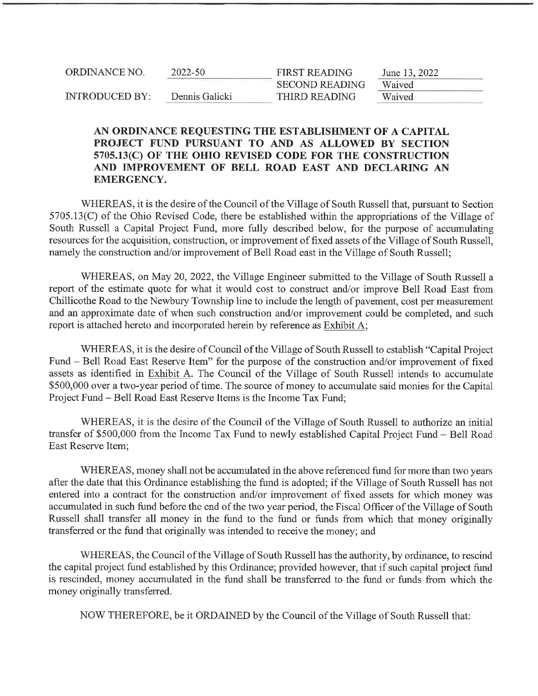| ORDINANCE NO.         | 2022-50        | <b>FIRST READING</b>  | June 13, 2022 |
|-----------------------|----------------|-----------------------|---------------|
|                       |                | <b>SECOND READING</b> | Waived        |
| <b>INTRODUCED BY:</b> | Dennis Galicki | THIRD READING         | Waived        |

## AN ORDINANCE REQUESTING THE ESTABLISHMENT OF A CAPITAL PROJECT FUND PURSUANT TO AND AS ALLOWED BY SECTION 5705.13(C) OF THE OHIO REVISED CODE FOR THE CONSTRUCTION AND IMPROVEMENT OF BELL ROAD EAST AND DECLARING AN EMERGENCY.

WHEREAS, it is the desire of the Council of the Village of South Russell that, pursuant to Section 5705. 13 (C) of the Ohio Revised Code, there be established within the appropriations of the Village of South Russell a Capital Project Fund, more fully described below, for the purpose of accumulating resources for the acquisition, construction, or improvement affixed assets of the Village of South Russell, namely the construction and/or improvement of Bell Road east in the Village of South Russell;

WHEREAS, on May 20, 2022, the Village Engineer submitted to the Village of South Russell a report of the estimate quote for what it would cost to construct and/or improve Bell Road East from Chillicothe Road to the Newbury Township line to include the length of pavement, cost per measurement and an approximate date of when such construction and/or improvement could be completed, and such report is attached hereto and incorporated herein by reference as Exhibit A;

WHEREAS, it is the desire of Council of the Village of South Russell to establish "Capital Project Fund - Bell Road East Reserve Item" for the purpose of the construction and/or improvement of fixed assets as identified in Exhibit A. The Council of the Village of South Russell intends to accumulate \$500, 000 over a two-year period of time. The source of money to accumulate said monies for the Capital Project Fund - Bell Road East Reserve Items is the Income Tax Fund;

WHEREAS, it is the desire of the Council of the Village of South Russell to authorize an initial transfer of \$500, 000 from the Income Tax Fund to newly established Capital Project Fund - Bell Road East Reserve Item;

WHEREAS, money shall not be accumulated in the above referenced fund for more than two years after the date that this Ordinance establishing the fund is adopted; if the Village of South Russell has not entered into a contract for the construction and/or improvement of fixed assets for which money was accumulated in such fund before the end of the two year period, the Fiscal Officer of the Village of South Russell shall transfer all money in the fund to the fund or funds from which that money originally transferred or the fund that originally was intended to receive the money; and

WHEREAS, the Council of the Village of South Russell has the authority, by ordinance, to rescind the capital project fund established by this Ordinance; provided however, that if such capital project fund is rescinded, money accumulated in the fund shall be transferred to the fund or funds from which the money originally transferred.

NOW THEREFORE, be it ORDAINED by the Council of the Village of South Russell that: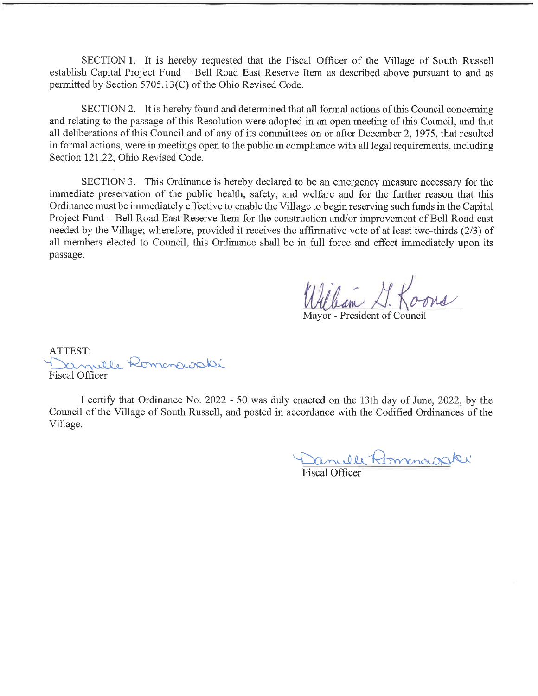SECTION 1. It is hereby requested that the Fiscal Officer of the Village of South Russell establish Capital Project Fund - Bell Road East Reserve Item as described above pursuant to and as permitted by Section 5705.13(C) of the Ohio Revised Code.

SECTION 2. It is hereby found and determined that all formal actions of this Council concerning and relating to the passage of this Resolution were adopted in an open meeting of this Council, and that all deliberations of this Council and of any of its committees on or after December 2, 1975, that resulted in formal actions, were in meetings open to the public in compliance with all legal requirements, including Section 121.22, Ohio Revised Code.

SECTION 3. This Ordinance is hereby declared to be an emergency measure necessary for the immediate preservation of the public health, safety, and welfare and for the further reason that this Ordinance must be immediately effective to enable the Village to begin reserving such funds in the Capital Project Fund - Bell Road East Reserve Item for the construction and/or improvement of Bell Road east needed by the Village; wherefore, provided it receives the affirmative vote of at least two-thirds (2/3) of all members elected to Council, this Ordinance shall be in full force and effect immediately upon its passage.

'lean XI K

Mayor - President of Council

ATTEST: anulle Romanavaki Fiscal Officer

I certify that Ordinance No. 2022 - 50 was duly enacted on the 13th day of June, 2022, by the Council of the Village of South Russell, and posted in accordance with the Codified Ordinances of the Village.

Danulle Romanoi

Fiscal Officer